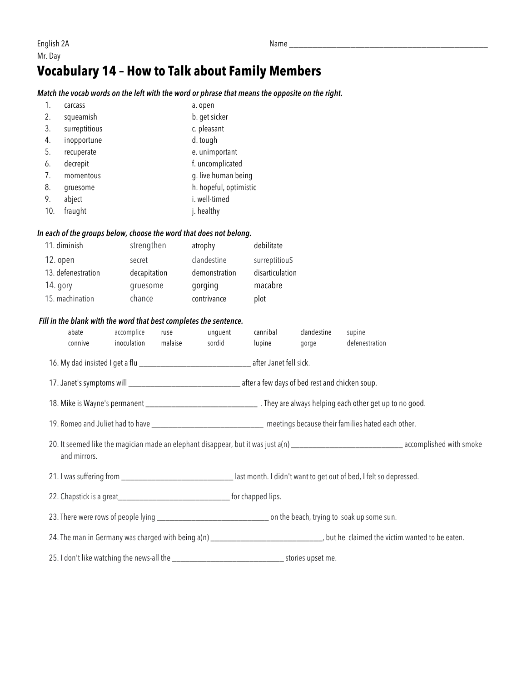## **Vocabulary 14 – How to Talk about Family Members**

### *Match the vocab words on the left with the word or phrase that means the opposite on the right.*

| 1.  | carcass       | a. open                |
|-----|---------------|------------------------|
| 2.  | squeamish     | b. get sicker          |
| 3.  | surreptitious | c. pleasant            |
| 4.  | inopportune   | d. tough               |
| 5.  | recuperate    | e. unimportant         |
| 6.  | decrepit      | f. uncomplicated       |
| 7.  | momentous     | g. live human being    |
| 8.  | gruesome      | h. hopeful, optimistic |
| 9.  | abject        | i. well-timed          |
| 10. | fraught       | j. healthy             |
|     |               |                        |

### *In each of the groups below, choose the word that does not belong.*

| 11. diminish       | strengthen   | atrophy       | debilitate      |
|--------------------|--------------|---------------|-----------------|
| 12. open           | secret       | clandestine   | surreptitiouS   |
| 13. defenestration | decapitation | demonstration | disarticulation |
| 14. gory           | gruesome     | gorging       | macabre         |
| 15. machination    | chance       | contrivance   | plot            |

#### *Fill in the blank with the word that best completes the sentence.*

| abate<br>connive                                                                                                             | accomplice<br>inoculation | ruse<br>malaise | unguent<br>sordid | cannibal<br>lupine | clandestine<br>gorge | supine<br>defenestration |  |  |  |
|------------------------------------------------------------------------------------------------------------------------------|---------------------------|-----------------|-------------------|--------------------|----------------------|--------------------------|--|--|--|
|                                                                                                                              |                           |                 |                   |                    |                      |                          |  |  |  |
|                                                                                                                              |                           |                 |                   |                    |                      |                          |  |  |  |
|                                                                                                                              |                           |                 |                   |                    |                      |                          |  |  |  |
|                                                                                                                              |                           |                 |                   |                    |                      |                          |  |  |  |
| 19. Romeo and Juliet had to have _______________________________ meetings because their families hated each other.           |                           |                 |                   |                    |                      |                          |  |  |  |
| and mirrors.                                                                                                                 |                           |                 |                   |                    |                      |                          |  |  |  |
| 21. I was suffering from _________________________________ last month. I didn't want to get out of bed, I felt so depressed. |                           |                 |                   |                    |                      |                          |  |  |  |
|                                                                                                                              |                           |                 |                   |                    |                      |                          |  |  |  |
|                                                                                                                              |                           |                 |                   |                    |                      |                          |  |  |  |
|                                                                                                                              |                           |                 |                   |                    |                      |                          |  |  |  |
|                                                                                                                              |                           |                 |                   |                    |                      |                          |  |  |  |